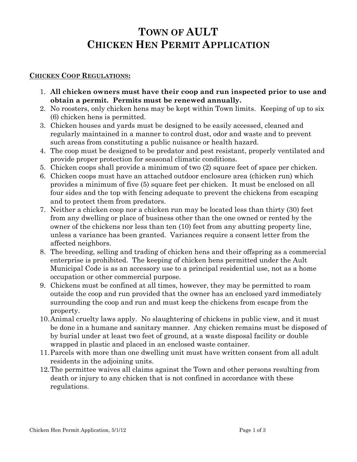# **TOWN OF AULT CHICKEN HEN PERMIT APPLICATION**

### **CHICKEN COOP REGULATIONS:**

- 1. **All chicken owners must have their coop and run inspected prior to use and obtain a permit. Permits must be renewed annually.**
- 2. No roosters, only chicken hens may be kept within Town limits. Keeping of up to six (6) chicken hens is permitted.
- 3. Chicken houses and yards must be designed to be easily accessed, cleaned and regularly maintained in a manner to control dust, odor and waste and to prevent such areas from constituting a public nuisance or health hazard.
- 4. The coop must be designed to be predator and pest resistant, properly ventilated and provide proper protection for seasonal climatic conditions.
- 5. Chicken coops shall provide a minimum of two (2) square feet of space per chicken.
- 6. Chicken coops must have an attached outdoor enclosure area (chicken run) which provides a minimum of five (5) square feet per chicken. It must be enclosed on all four sides and the top with fencing adequate to prevent the chickens from escaping and to protect them from predators.
- 7. Neither a chicken coop nor a chicken run may be located less than thirty (30) feet from any dwelling or place of business other than the one owned or rented by the owner of the chickens nor less than ten (10) feet from any abutting property line, unless a variance has been granted. Variances require a consent letter from the affected neighbors.
- 8. The breeding, selling and trading of chicken hens and their offspring as a commercial enterprise is prohibited. The keeping of chicken hens permitted under the Ault Municipal Code is as an accessory use to a principal residential use, not as a home occupation or other commercial purpose.
- 9. Chickens must be confined at all times, however, they may be permitted to roam outside the coop and run provided that the owner has an enclosed yard immediately surrounding the coop and run and must keep the chickens from escape from the property.
- 10.Animal cruelty laws apply. No slaughtering of chickens in public view, and it must be done in a humane and sanitary manner. Any chicken remains must be disposed of by burial under at least two feet of ground, at a waste disposal facility or double wrapped in plastic and placed in an enclosed waste container.
- 11.Parcels with more than one dwelling unit must have written consent from all adult residents in the adjoining units.
- 12.The permittee waives all claims against the Town and other persons resulting from death or injury to any chicken that is not confined in accordance with these regulations.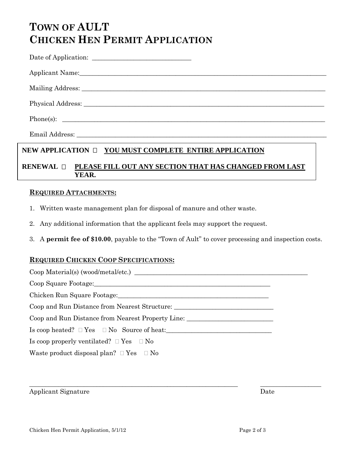# **TOWN OF AULT CHICKEN HEN PERMIT APPLICATION**

| Date of Application: |  |
|----------------------|--|
|                      |  |

| <b>Applicant Name:</b> |  |  |  |
|------------------------|--|--|--|
|                        |  |  |  |

Mailing Address: \_\_\_\_\_\_\_\_\_\_\_\_\_\_\_\_\_\_\_\_\_\_\_\_\_\_\_\_\_\_\_\_\_\_\_\_\_\_\_\_\_\_\_\_\_\_\_\_\_\_\_\_\_\_\_\_\_\_\_\_\_\_\_\_\_\_\_\_\_\_\_\_\_\_\_\_

Physical Address: \_\_\_\_\_\_\_\_\_\_\_\_\_\_\_\_\_\_\_\_\_\_\_\_\_\_\_\_\_\_\_\_\_\_\_\_\_\_\_\_\_\_\_\_\_\_\_\_\_\_\_\_\_\_\_\_\_\_\_\_\_\_\_\_\_\_\_\_\_\_\_\_\_\_\_

Phone(s): \_\_\_\_\_\_\_\_\_\_\_\_\_\_\_\_\_\_\_\_\_\_\_\_\_\_\_\_\_\_\_\_\_\_\_\_\_\_\_\_\_\_\_\_\_\_\_\_\_\_\_\_\_\_\_\_\_\_\_\_\_\_\_\_\_\_\_\_\_\_\_\_\_\_\_\_\_\_\_\_\_\_

Email Address: \_\_\_\_\_\_\_\_\_\_\_\_\_\_\_\_\_\_\_\_\_\_\_\_\_\_\_\_\_\_\_\_\_\_\_\_\_\_\_\_\_\_\_\_\_\_\_\_\_\_\_\_\_\_\_\_\_\_\_\_\_\_\_\_\_\_\_\_\_\_\_\_\_\_\_\_\_\_

# **NEW APPLICATION**  $\Box$  **YOU MUST COMPLETE ENTIRE APPLICATION**

### **RENEWAL PLEASE FILL OUT ANY SECTION THAT HAS CHANGED FROM LAST YEAR.**

#### **REQUIRED ATTACHMENTS:**

- 1. Written waste management plan for disposal of manure and other waste.
- 2. Any additional information that the applicant feels may support the request.
- 3. A **permit fee of \$10.00**, payable to the "Town of Ault" to cover processing and inspection costs.

## **REQUIRED CHICKEN COOP SPECIFICATIONS:**

| Coop and Run Distance from Nearest Structure: ___________________________________ |  |  |
|-----------------------------------------------------------------------------------|--|--|
| Coop and Run Distance from Nearest Property Line:                                 |  |  |
| $\text{Is coop heated? } \square \text{Yes } \square \text{ No}$ Source of heat:  |  |  |
| Is coop properly ventilated? $\Box$ Yes $\Box$ No                                 |  |  |
| Waste product disposal plan? $\Box$ Yes $\Box$ No                                 |  |  |

 $\_$  , and the set of the set of the set of the set of the set of the set of the set of the set of the set of the set of the set of the set of the set of the set of the set of the set of the set of the set of the set of th

Applicant Signature Date